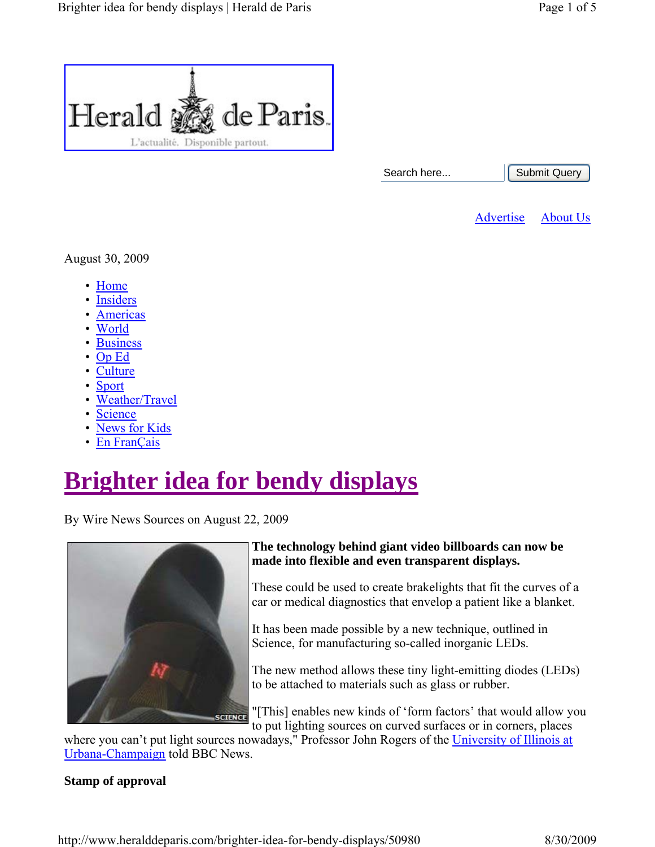

```
Submit Query
```
Advertise About Us

August 30, 2009

- Home
- Insiders
- Americas
- World
- Business
- Op Ed
- Culture
- Sport
- Weather/Travel
- Science
- News for Kids
- En FranÇais

# **Brighter idea for bendy displays**

By Wire News Sources on August 22, 2009



### **The technology behind giant video billboards can now be made into flexible and even transparent displays.**

These could be used to create brakelights that fit the curves of a car or medical diagnostics that envelop a patient like a blanket.

It has been made possible by a new technique, outlined in Science, for manufacturing so-called inorganic LEDs.

The new method allows these tiny light-emitting diodes (LEDs) to be attached to materials such as glass or rubber.

"[This] enables new kinds of 'form factors' that would allow you to put lighting sources on curved surfaces or in corners, places

where you can't put light sources nowadays," Professor John Rogers of the *University of Illinois at* Urbana-Champaign told BBC News.

## **Stamp of approval**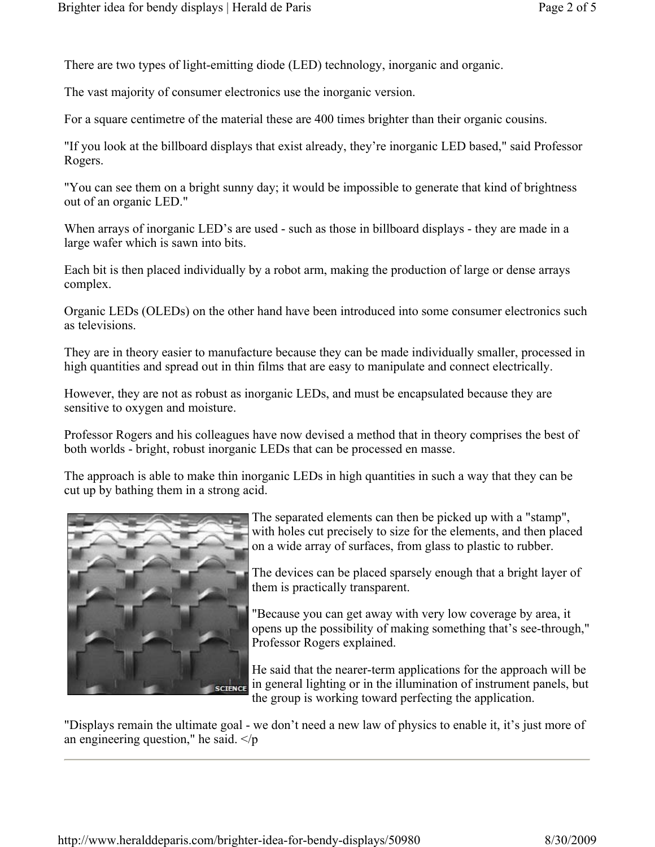There are two types of light-emitting diode (LED) technology, inorganic and organic.

The vast majority of consumer electronics use the inorganic version.

For a square centimetre of the material these are 400 times brighter than their organic cousins.

"If you look at the billboard displays that exist already, they're inorganic LED based," said Professor Rogers.

"You can see them on a bright sunny day; it would be impossible to generate that kind of brightness out of an organic LED."

When arrays of inorganic LED's are used - such as those in billboard displays - they are made in a large wafer which is sawn into bits.

Each bit is then placed individually by a robot arm, making the production of large or dense arrays complex.

Organic LEDs (OLEDs) on the other hand have been introduced into some consumer electronics such as televisions.

They are in theory easier to manufacture because they can be made individually smaller, processed in high quantities and spread out in thin films that are easy to manipulate and connect electrically.

However, they are not as robust as inorganic LEDs, and must be encapsulated because they are sensitive to oxygen and moisture.

Professor Rogers and his colleagues have now devised a method that in theory comprises the best of both worlds - bright, robust inorganic LEDs that can be processed en masse.

The approach is able to make thin inorganic LEDs in high quantities in such a way that they can be cut up by bathing them in a strong acid.



The separated elements can then be picked up with a "stamp", with holes cut precisely to size for the elements, and then placed on a wide array of surfaces, from glass to plastic to rubber.

The devices can be placed sparsely enough that a bright layer of them is practically transparent.

"Because you can get away with very low coverage by area, it opens up the possibility of making something that's see-through," Professor Rogers explained.

He said that the nearer-term applications for the approach will be in general lighting or in the illumination of instrument panels, but the group is working toward perfecting the application.

"Displays remain the ultimate goal - we don't need a new law of physics to enable it, it's just more of an engineering question," he said.  $\langle p \rangle$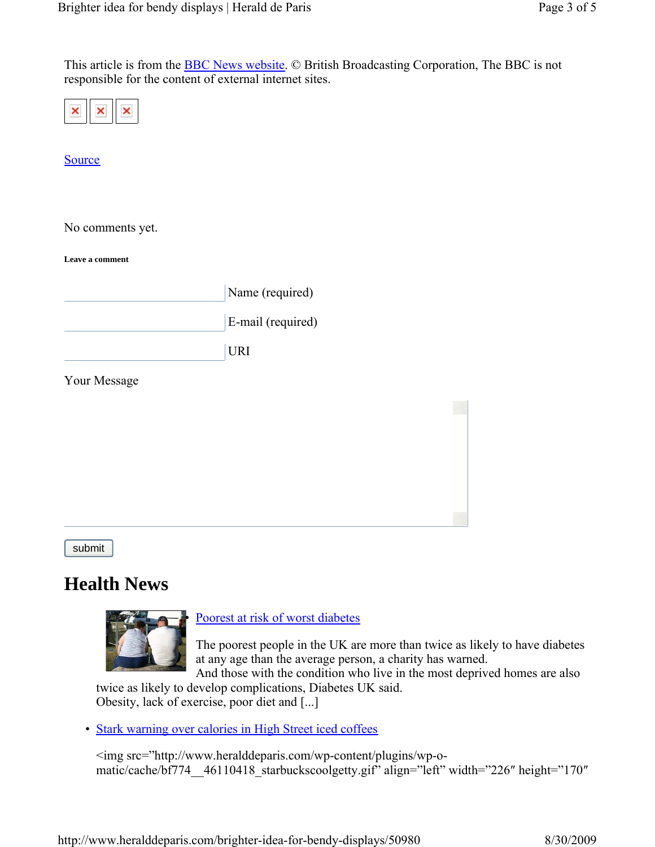This article is from the BBC News website. © British Broadcasting Corporation, The BBC is not responsible for the content of external internet sites.

|--|--|

Source

No comments yet.

**Leave a comment**

|  | Name (required) |
|--|-----------------|
|  |                 |

E-mail (required)

URI

Your Message

submit

## **Health News**



Poorest at risk of worst diabetes

The poorest people in the UK are more than twice as likely to have diabetes at any age than the average person, a charity has warned.

And those with the condition who live in the most deprived homes are also twice as likely to develop complications, Diabetes UK said.

Obesity, lack of exercise, poor diet and [...]

• Stark warning over calories in High Street iced coffees

<img src="http://www.heralddeparis.com/wp-content/plugins/wp-omatic/cache/bf774\_\_46110418\_starbuckscoolgetty.gif" align="left" width="226″ height="170″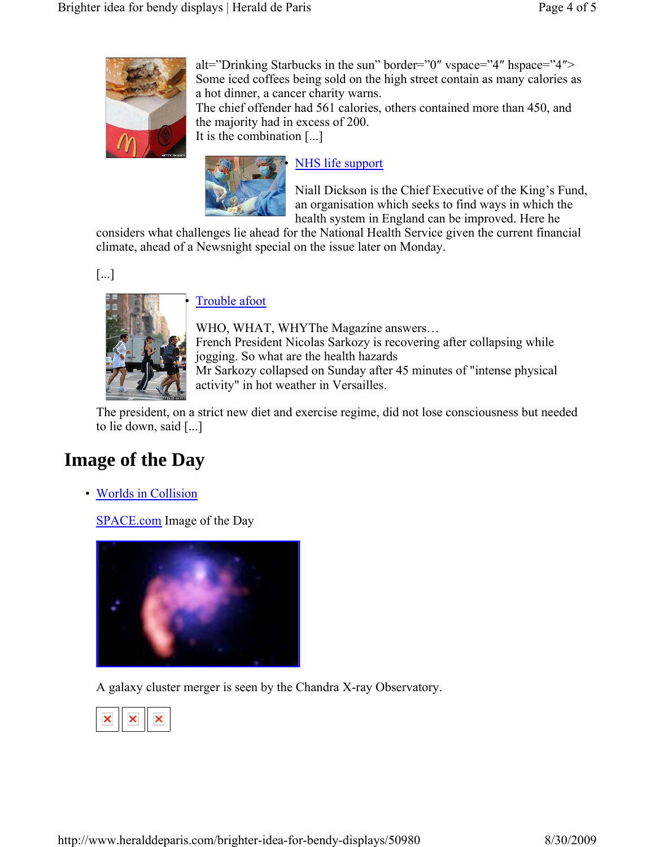

alt="Drinking Starbucks in the sun" border="0″ vspace="4″ hspace="4″> Some iced coffees being sold on the high street contain as many calories as a hot dinner, a cancer charity warns. The chief offender had 561 calories, others contained more than 450, and the majority had in excess of 200. It is the combination [...]



## NHS life support

Niall Dickson is the Chief Executive of the King's Fund, an organisation which seeks to find ways in which the health system in England can be improved. Here he

considers what challenges lie ahead for the National Health Service given the current financial climate, ahead of a Newsnight special on the issue later on Monday.

[...]



### Trouble afoot

WHO, WHAT, WHYThe Magazine answers… French President Nicolas Sarkozy is recovering after collapsing while jogging. So what are the health hazards Mr Sarkozy collapsed on Sunday after 45 minutes of "intense physical activity" in hot weather in Versailles.

The president, on a strict new diet and exercise regime, did not lose consciousness but needed to lie down, said [...]

## **Image of the Day**

• Worlds in Collision

SPACE.com Image of the Day



A galaxy cluster merger is seen by the Chandra X-ray Observatory.